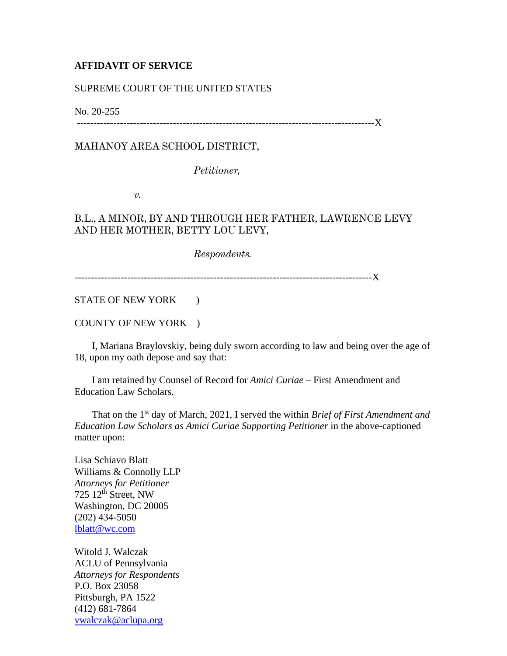## **AFFIDAVIT OF SERVICE**

## SUPREME COURT OF THE UNITED STATES

No. 20-255

------------------------------------------------------------------------------------------X

MAHANOY AREA SCHOOL DISTRICT,

*Petitioner,*

*v.*

## B.L., A MINOR, BY AND THROUGH HER FATHER, LAWRENCE LEVY AND HER MOTHER, BETTY LOU LEVY,

*Respondents.*

------------------------------------------------------------------------------------------X

STATE OF NEW YORK )

COUNTY OF NEW YORK )

 I, Mariana Braylovskiy, being duly sworn according to law and being over the age of 18, upon my oath depose and say that:

 I am retained by Counsel of Record for *Amici Curiae –* First Amendment and Education Law Scholars*.*

That on the 1<sup>st</sup> day of March, 2021, I served the within *Brief of First Amendment and Education Law Scholars as Amici Curiae Supporting Petitioner* in the above-captioned matter upon:

Lisa Schiavo Blatt Williams & Connolly LLP *Attorneys for Petitioner* 725  $12^{th}$  Street, NW Washington, DC 20005 (202) 434-5050 [lblatt@wc.com](mailto:lblatt@wc.com)

Witold J. Walczak ACLU of Pennsylvania *Attorneys for Respondents* P.O. Box 23058 Pittsburgh, PA 1522 (412) 681-7864 [vwalczak@aclupa.org](mailto:vwalczak@aclupa.org)